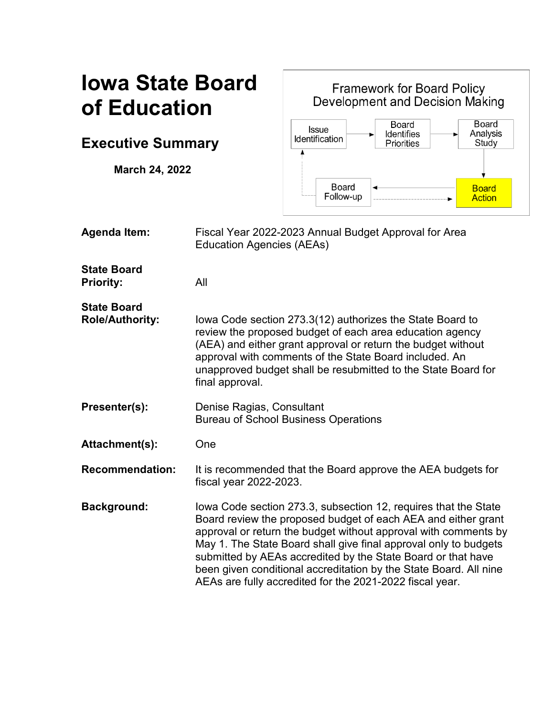# **Iowa State Board of Education**

**Executive Summary**

**March 24, 2022**

**Framework for Board Policy** Development and Decision Making **Board** Board **Issue** Analysis **Identifies** Identification **Priorities** Study **Board Board** Follow-up **Action** 

**Agenda Item:** Fiscal Year 2022-2023 Annual Budget Approval for Area Education Agencies (AEAs) **State Board Priority:** All **State Board Role/Authority:** Iowa Code section 273.3(12) authorizes the State Board to review the proposed budget of each area education agency (AEA) and either grant approval or return the budget without approval with comments of the State Board included. An unapproved budget shall be resubmitted to the State Board for final approval. **Presenter(s):** Denise Ragias, Consultant Bureau of School Business Operations Attachment(s): One **Recommendation:** It is recommended that the Board approve the AEA budgets for fiscal year 2022-2023. **Background:** Iowa Code section 273.3, subsection 12, requires that the State Board review the proposed budget of each AEA and either grant approval or return the budget without approval with comments by May 1. The State Board shall give final approval only to budgets submitted by AEAs accredited by the State Board or that have been given conditional accreditation by the State Board. All nine AEAs are fully accredited for the 2021-2022 fiscal year.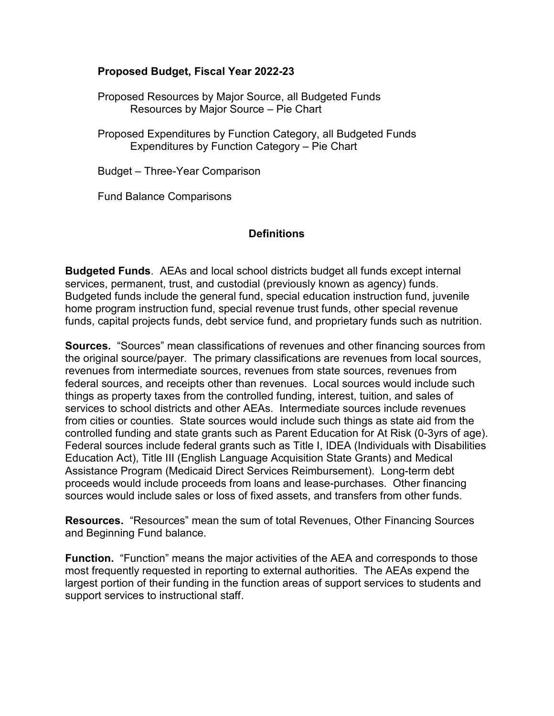## **Proposed Budget, Fiscal Year 2022-23**

Proposed Resources by Major Source, all Budgeted Funds Resources by Major Source – Pie Chart

Proposed Expenditures by Function Category, all Budgeted Funds Expenditures by Function Category – Pie Chart

Budget – Three-Year Comparison

Fund Balance Comparisons

## **Definitions**

**Budgeted Funds**. AEAs and local school districts budget all funds except internal services, permanent, trust, and custodial (previously known as agency) funds. Budgeted funds include the general fund, special education instruction fund, juvenile home program instruction fund, special revenue trust funds, other special revenue funds, capital projects funds, debt service fund, and proprietary funds such as nutrition.

**Sources.** "Sources" mean classifications of revenues and other financing sources from the original source/payer. The primary classifications are revenues from local sources, revenues from intermediate sources, revenues from state sources, revenues from federal sources, and receipts other than revenues. Local sources would include such things as property taxes from the controlled funding, interest, tuition, and sales of services to school districts and other AEAs. Intermediate sources include revenues from cities or counties. State sources would include such things as state aid from the controlled funding and state grants such as Parent Education for At Risk (0-3yrs of age). Federal sources include federal grants such as Title I, IDEA (Individuals with Disabilities Education Act), Title III (English Language Acquisition State Grants) and Medical Assistance Program (Medicaid Direct Services Reimbursement). Long-term debt proceeds would include proceeds from loans and lease-purchases. Other financing sources would include sales or loss of fixed assets, and transfers from other funds.

**Resources.** "Resources" mean the sum of total Revenues, Other Financing Sources and Beginning Fund balance.

**Function.** "Function" means the major activities of the AEA and corresponds to those most frequently requested in reporting to external authorities. The AEAs expend the largest portion of their funding in the function areas of support services to students and support services to instructional staff.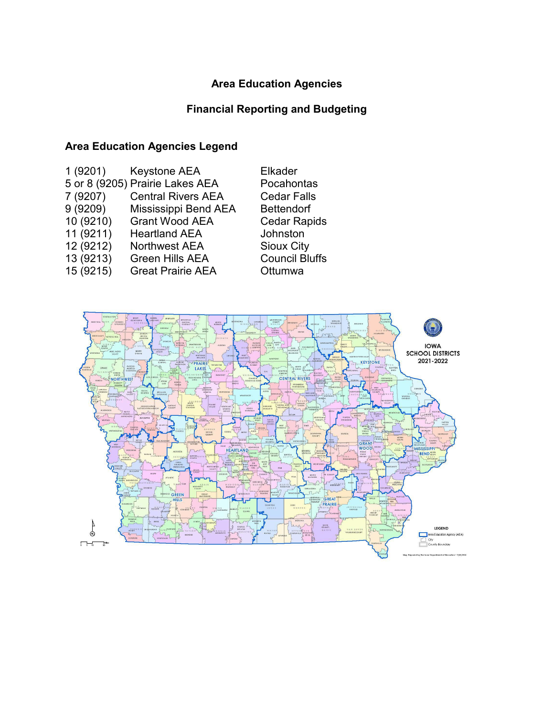## **Area Education Agencies**

## **Financial Reporting and Budgeting**

# **Area Education Agencies Legend**

| 1(9201)<br>7 (9207)<br>9(9209)<br>10 (9210)<br>11 (9211)<br>12 (9212)<br>13 (9213) | Keystone AEA<br>5 or 8 (9205) Prairie Lakes AEA<br><b>Central Rivers AEA</b><br>Mississippi Bend AEA<br><b>Grant Wood AEA</b><br><b>Heartland AEA</b><br><b>Northwest AEA</b><br><b>Green Hills AEA</b> | <b>Elkader</b><br>Pocahontas<br><b>Cedar Falls</b><br><b>Bettendorf</b><br><b>Cedar Rapids</b><br>Johnston<br><b>Sioux City</b><br><b>Council Bluffs</b> |
|------------------------------------------------------------------------------------|---------------------------------------------------------------------------------------------------------------------------------------------------------------------------------------------------------|----------------------------------------------------------------------------------------------------------------------------------------------------------|
| 15 (9215)                                                                          | <b>Great Prairie AEA</b>                                                                                                                                                                                | Ottumwa                                                                                                                                                  |
|                                                                                    |                                                                                                                                                                                                         |                                                                                                                                                          |

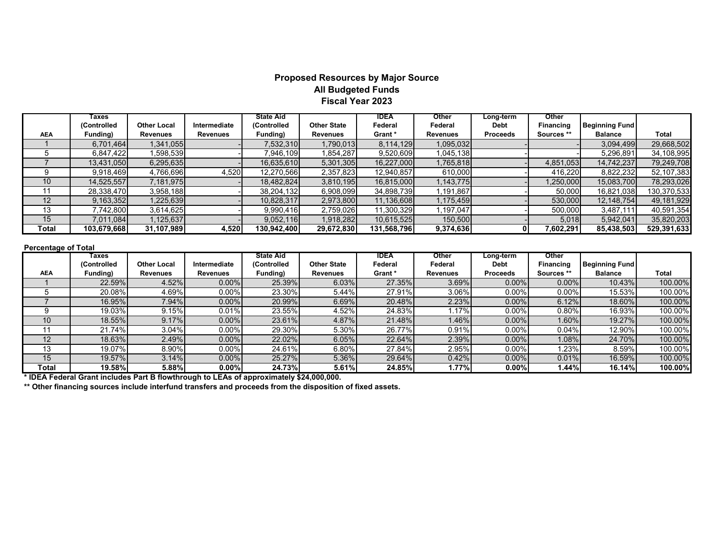#### **Proposed Resources by Major Source All Budgeted Funds Fiscal Year 2023**

|            | Taxes       |                    |              | <b>State Aid</b> |                    | <b>IDEA</b> | Other           | Long-term       | Other            |                       |             |
|------------|-------------|--------------------|--------------|------------------|--------------------|-------------|-----------------|-----------------|------------------|-----------------------|-------------|
|            | (Controlled | <b>Other Local</b> | Intermediate | (Controlled      | <b>Other State</b> | Federal     | Federal         | Debt            | <b>Financing</b> | <b>Beginning Fund</b> |             |
| <b>AEA</b> | Funding)    | <b>Revenues</b>    | Revenues     | Funding)         | <b>Revenues</b>    | Grant *     | <b>Revenues</b> | <b>Proceeds</b> | Sources **       | <b>Balance</b>        | Total       |
|            | 6,701,464   | 1,341,055          |              | 7,532,310        | 1,790,013          | 8,114,129   | 1,095,032       |                 |                  | 3,094,499             | 29,668,502  |
|            | 6,847,422   | ,598,539           |              | 7,946,109        | 1,854,287          | 9,520,609   | 1,045,138       |                 |                  | 5,296,891             | 34,108,995  |
|            | 13,431,050  | 6,295,635          |              | 16,635,610       | 5,301,305          | 16,227,000  | 1,765,818       |                 | 4,851,053        | 14,742,237            | 79,249,708  |
|            | 9,918,469   | 4,766,696          | 4,520        | 12,270,566       | 2,357,823          | 12,940,857  | 610,000         |                 | 416,220          | 8,822,232             | 52,107,383  |
| 10         | 14,525,557  | 7,181,975          |              | 18,482,824       | 3,810,195          | 16,815,000  | 1,143,775       |                 | 1,250,000        | 15,083,700            | 78,293,026  |
| 11         | 28,338,470  | 3,958,188          |              | 38,204,132       | 6,908,099          | 34,898,739  | 1,191,867       |                 | 50,000           | 16,821,038            | 130,370,533 |
| 12         | 9,163,352   | <b>225,639</b>     |              | 10,828,317       | 2,973,800          | 11,136,608  | 1,175,459       |                 | 530,000          | 12,148,754            | 49,181,929  |
| 13         | 7,742,800   | 3,614,625          |              | 9,990,416        | 2,759,026          | 11,300,329  | 1,197,047       |                 | 500,000          | 3,487,111             | 40,591,354  |
| 15         | 7,011,084   | .125.637           |              | 9,052,116        | 1,918,282          | 10,615,525  | 150,500         |                 | 5,018            | 5,942,041             | 35,820,203  |
| Total      | 103,679,668 | 31,107,989         | 4,520        | 130,942,400      | 29,672,830         | 131,568,796 | 9,374,636       | 01              | 7,602,291        | 85,438,503            | 529,391,633 |

#### **Percentage of Total**

|            | Taxes       |                    |                 | <b>State Aid</b> |                    | IDEA    | Other           | Long-term       | Other            |                       |              |
|------------|-------------|--------------------|-----------------|------------------|--------------------|---------|-----------------|-----------------|------------------|-----------------------|--------------|
|            | (Controlled | <b>Other Local</b> | Intermediate    | (Controlled      | <b>Other State</b> | Federal | Federal         | <b>Debt</b>     | <b>Financing</b> | <b>Beginning Fund</b> |              |
| <b>AEA</b> | Funding)    | Revenues           | <b>Revenues</b> | Funding)         | <b>Revenues</b>    | Grant * | <b>Revenues</b> | <b>Proceeds</b> | Sources **       | <b>Balance</b>        | <b>Total</b> |
|            | 22.59%      | 4.52%              | $0.00\%$        | 25.39%           | 6.03%              | 27.35%  | 3.69%           | $0.00\%$        | $0.00\%$         | 10.43%                | 100.00%      |
|            | 20.08%      | 4.69%              | 0.00%           | 23.30%           | 5.44%              | 27.91%  | 3.06%           | 0.00%           | $0.00\%$         | 15.53%I               | 100.00%      |
|            | 16.95%      | 7.94%              | $0.00\%$        | 20.99%           | 6.69%              | 20.48%  | 2.23%           | $0.00\%$        | 6.12%            | 18.60%                | 100.00%      |
|            | 19.03%      | 9.15%              | 0.01%           | 23.55%           | 4.52%              | 24.83%  | 1.17%           | $0.00\%$        | 0.80%            | 16.93%                | 100.00%      |
| 10         | 18.55%      | 9.17%              | $0.00\%$        | 23.61%           | 4.87%              | 21.48%  | 1.46%           | $0.00\%$        | 1.60%            | 19.27%                | 100.00%      |
| 11         | 21.74%      | 3.04%              | $0.00\%$        | 29.30%           | 5.30%              | 26.77%  | 0.91%           | 0.00%           | 0.04%            | 12.90%                | 100.00%      |
| 12         | 18.63%      | 2.49%              | $0.00\%$        | 22.02%           | 6.05%              | 22.64%  | 2.39%           | $0.00\%$        | 1.08%            | 24.70%                | 100.00%      |
| 13         | 19.07%      | 8.90%              | $0.00\%$        | 24.61%           | 6.80%              | 27.84%  | 2.95%           | 0.00%           | 1.23%            | 8.59%                 | 100.00%      |
| 15         | 19.57%      | 3.14%              | $0.00\%$        | 25.27%           | 5.36%              | 29.64%  | 0.42%           | $0.00\%$        | 0.01%            | 16.59%                | 100.00%      |
| Total      | 19.58%      | 5.88%              | $0.00\%$        | 24.73%           | 5.61%              | 24.85%  | 1.77%           | 0.00%           | 1.44%            | <b>16.14%</b>         | 100.00%      |

**\* IDEA Federal Grant includes Part B flowthrough to LEAs of approximately \$24,000,000.**

**\*\* Other financing sources include interfund transfers and proceeds from the disposition of fixed assets.**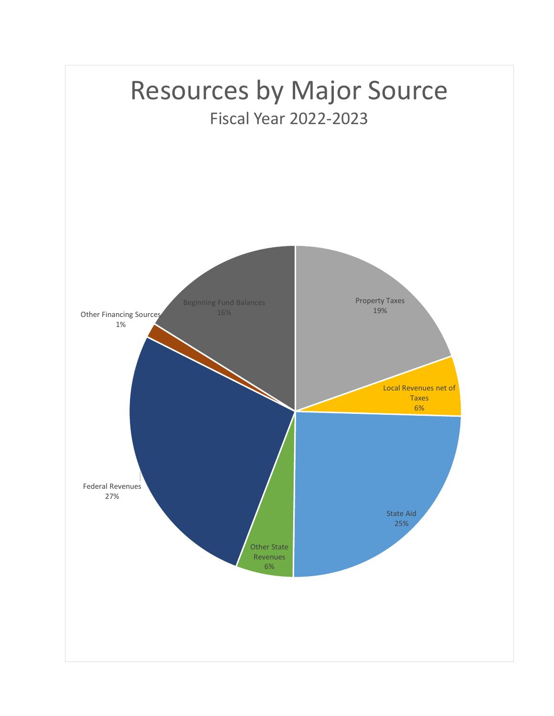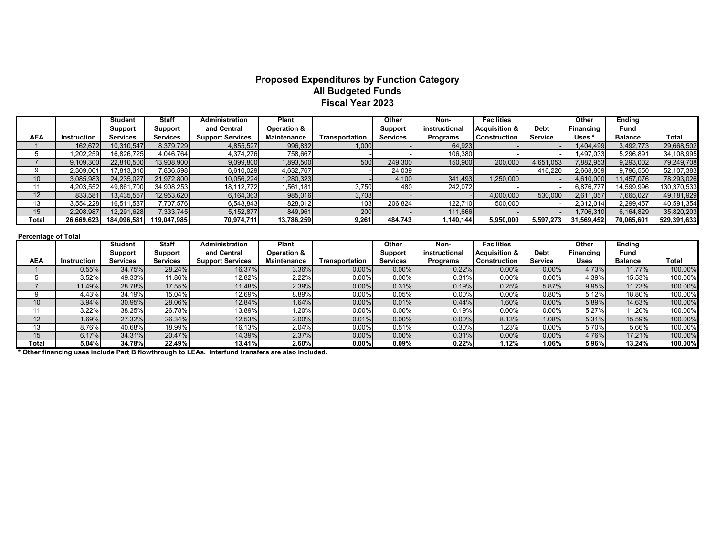### **Proposed Expenditures by Function Category All Budgeted Funds Fiscal Year 2023**

|            |             | <b>Student</b>  | Staff           | <b>Administration</b>   | Plant              |                | Other           | Non-            | <b>Facilities</b>        |                | Other      | <b>Ending</b>  |             |
|------------|-------------|-----------------|-----------------|-------------------------|--------------------|----------------|-----------------|-----------------|--------------------------|----------------|------------|----------------|-------------|
|            |             | <b>Support</b>  | Support         | and Central             | Operation &        |                | Support         | instructional   | <b>Acquisition &amp;</b> | <b>Debt</b>    | Financing  | Fund           |             |
| <b>AEA</b> | Instruction | <b>Services</b> | <b>Services</b> | <b>Support Services</b> | <b>Maintenance</b> | Transportation | <b>Services</b> | <b>Programs</b> | <b>Construction</b>      | <b>Service</b> | Uses *     | <b>Balance</b> | Total       |
|            | 162,672     | 10,310,547      | 8,379,729       | 4,855,527               | 996,832            | 1,000          |                 | 64,923          |                          |                | 1,404,499  | 3,492,773      | 29,668,502  |
|            | 1.202.259   | 16,826,725      | 4,046,764       | 4,374,276               | 758,667            |                |                 | 106,380         |                          |                | 1.497.033  | 5,296,891      | 34,108,995  |
|            | 9,109,300   | 22,810,500      | 13,908,900      | 9,099,800               | 1,893,500          | 500            | 249,300         | 150,900         | 200,000                  | 4,651,053      | 7,882,953  | 9,293,002      | 79,249,708  |
|            | 2,309,061   | 17,813,310      | 7,836,598       | 6,610,029               | 4,632,767          |                | 24,039          |                 |                          | 416.220        | 2,668,809  | 9,796,550      | 52,107,383  |
| 10         | 3,085,983   | 24,235,027      | 21,972,800      | 10,056,224              | 1,280,323          |                | 4,100           | 341,493         | 1,250,000                |                | 4,610,000  | 11,457,076     | 78,293,026  |
| 11         | 4,203,552   | 49,861,700      | 34.908.253      | 18,112,772              | 1,561,181          | 3,750          | 480             | 242,072         |                          |                | 6,876,777  | 14,599,996     | 130,370,533 |
| 12         | 833,581     | 13,435,557      | 12,953,620      | 6,164,363               | 985,016            | 3,708          |                 |                 | 4,000,000                | 530,000        | 2,611,057  | 7,665,027      | 49,181,929  |
| 13         | 3,554,228   | 16,511,587      | 7,707,576       | 6,548,843               | 828,012            | 103            | 206.824         | 122,710         | 500,000                  |                | 2,312,014  | 2,299,457      | 40,591,354  |
| 15         | 2,208,987   | 12,291,628      | 7,333,745       | 5,152,877               | 849,961            | 200            |                 | 111,666         |                          |                | 1,706,310  | 6,164,829      | 35,820,203  |
| Total      | 26.669.623  | 184,096,581     | 119.047.985     | 70,974,711              | 13,786,259         | 9,261          | 484.743         | 1.140.144       | 5,950,000                | 5,597,273      | 31,569,452 | 70,065,601     | 529,391,633 |

#### **Percentage of Total**

|                 |             | <b>Student</b>  | Staff           | Administration          | Plant                  |                | Other           | Non-            | <b>Facilities</b> |                | Other            | <b>Ending</b>  |         |
|-----------------|-------------|-----------------|-----------------|-------------------------|------------------------|----------------|-----------------|-----------------|-------------------|----------------|------------------|----------------|---------|
|                 |             | Support         | Support         | and Central             | <b>Operation &amp;</b> |                | Support         | instructional   | Acquisition &     | <b>Debt</b>    | <b>Financing</b> | Fund           |         |
| <b>AEA</b>      | Instruction | <b>Services</b> | <b>Services</b> | <b>Support Services</b> | <b>Maintenance</b>     | Transportation | <b>Services</b> | <b>Programs</b> | Construction      | <b>Service</b> | Uses             | <b>Balance</b> | Total   |
|                 | 0.55%       | 34.75%          | 28.24%          | 16.37%                  | 3.36%                  | $0.00\%$       | $0.00\%$        | 0.22%           | 0.00%             | $0.00\%$       | 4.73%            | 11.77%         | 100.00% |
|                 | 3.52%       | 49.33%          | 11.86%          | 12.82%                  | 2.22%                  | $0.00\%$       | $0.00\%$        | 0.31%           | 0.00%             | $0.00\%$       | 4.39%            | 15.53%         | 100.00% |
|                 | 11.49%      | 28.78%          | 17.55%          | 11.48%                  | 2.39%                  | $0.00\%$       | 0.31%           | 0.19%           | 0.25%             | 5.87%          | 9.95%            | 11.73%         | 100.00% |
|                 | 4.43%       | 34.19%          | 15.04%          | 12.69%                  | 8.89%                  | $0.00\%$       | 0.05%           | 0.00%           | 0.00%             | $0.80\%$       | 5.12%            | 18.80%         | 100.00% |
| 10 <sup>°</sup> | 3.94%       | 30.95%          | 28.06%          | 12.84%                  | 1.64%                  | $0.00\%$       | 0.01%           | 0.44%           | 1.60%             | $0.00\%$       | 5.89%            | 14.63%         | 100.00% |
|                 | 3.22%       | 38.25%          | 26.78%          | 13.89%                  | .20%                   | 0.00%          | 0.00%           | 0.19%           | 0.00%             | 0.00%          | 5.27%            | 11.20%         | 100.00% |
| 12              | 1.69%       | 27.32%          | 26.34%          | 12.53%                  | 2.00%                  | 0.01%          | $0.00\%$        | 0.00%           | 8.13%             | 1.08%          | 5.31%            | 15.59%         | 100.00% |
| 13              | 8.76%       | 40.68%          | 18.99%          | 16.13%                  | 2.04%                  | $0.00\%$       | 0.51%           | 0.30%           | 1.23%             | $0.00\%$       | 5.70%            | 5.66%          | 100.00% |
| 15              | 6.17%       | 34.31%          | 20.47%          | 14.39%                  | 2.37%                  | $0.00\%$       | $0.00\%$        | 0.31%           | 0.00%             | $0.00\%$       | 4.76%            | 17.21%         | 100.00% |
| Total           | 5.04%       | 34.78%          | 22.49%          | 13.41%                  | $2.60\%$               | $0.00\%$       | 0.09%           | 0.22%           | 1.12%             | 1.06%          | 5.96%            | 13.24%         | 100.00% |

**\* Other financing uses include Part B flowthrough to LEAs. Interfund transfers are also included.**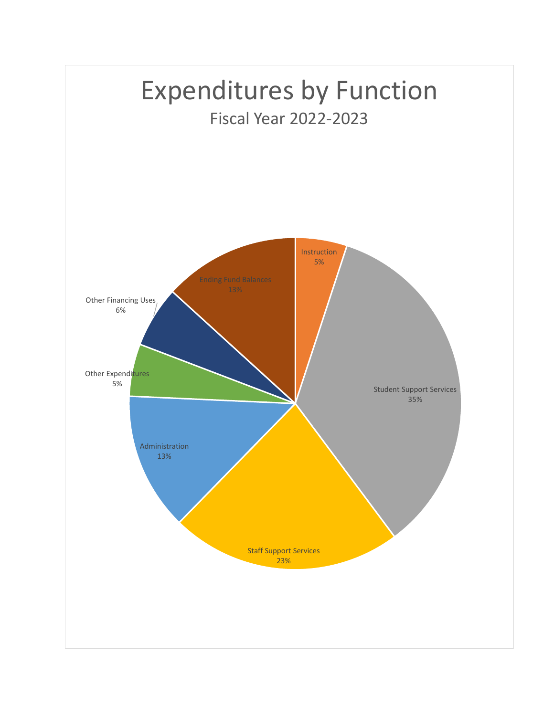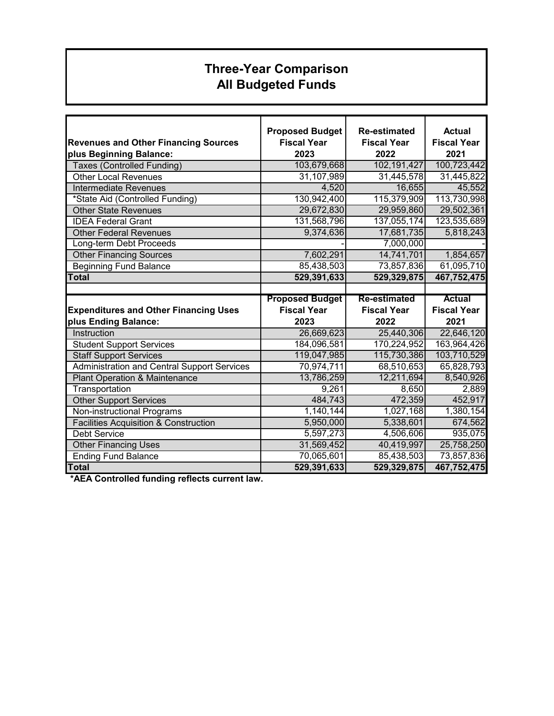# **Three-Year Comparison All Budgeted Funds**

|                                                    | <b>Proposed Budget</b> | <b>Re-estimated</b> | <b>Actual</b>      |
|----------------------------------------------------|------------------------|---------------------|--------------------|
| <b>Revenues and Other Financing Sources</b>        | <b>Fiscal Year</b>     | <b>Fiscal Year</b>  | <b>Fiscal Year</b> |
| plus Beginning Balance:                            | 2023                   | 2022                | 2021               |
| <b>Taxes (Controlled Funding)</b>                  | 103,679,668            | 102,191,427         | 100,723,442        |
| <b>Other Local Revenues</b>                        | 31,107,989             | 31,445,578          | 31,445,822         |
| Intermediate Revenues                              | 4,520                  | 16,655              | 45,552             |
| *State Aid (Controlled Funding)                    | 130,942,400            | 115,379,909         | 113,730,998        |
| <b>Other State Revenues</b>                        | 29,672,830             | 29,959,860          | 29,502,361         |
| <b>IDEA Federal Grant</b>                          | 131,568,796            | 137,055,174         | 123,535,689        |
| <b>Other Federal Revenues</b>                      | 9,374,636              | 17,681,735          | 5,818,243          |
| Long-term Debt Proceeds                            |                        | 7,000,000           |                    |
| <b>Other Financing Sources</b>                     | 7,602,291              | 14,741,701          | 1,854,657          |
| <b>Beginning Fund Balance</b>                      | 85,438,503             | 73,857,836          | 61,095,710         |
| <b>Total</b>                                       | 529,391,633            | 529,329,875         | 467,752,475        |
|                                                    |                        |                     |                    |
|                                                    | <b>Proposed Budget</b> | <b>Re-estimated</b> | <b>Actual</b>      |
| <b>Expenditures and Other Financing Uses</b>       | <b>Fiscal Year</b>     | <b>Fiscal Year</b>  | <b>Fiscal Year</b> |
| plus Ending Balance:                               | 2023                   | 2022                | 2021               |
| Instruction                                        | 26,669,623             | 25,440,306          | 22,646,120         |
| <b>Student Support Services</b>                    | 184,096,581            | 170,224,952         | 163,964,426        |
| <b>Staff Support Services</b>                      | 119,047,985            | 115,730,386         | 103,710,529        |
| <b>Administration and Central Support Services</b> | 70,974,711             | 68,510,653          | 65,828,793         |
| <b>Plant Operation &amp; Maintenance</b>           | 13,786,259             | 12,211,694          | 8,540,926          |
| Transportation                                     | 9,261                  | 8,650               | 2,889              |
| <b>Other Support Services</b>                      | 484,743                | 472,359             | 452,917            |
| Non-instructional Programs                         | 1,140,144              | 1,027,168           | 1,380,154          |
| <b>Facilities Acquisition &amp; Construction</b>   | 5,950,000              | 5,338,601           | 674,562            |
| <b>Debt Service</b>                                | 5,597,273              | 4,506,606           | 935,075            |
| <b>Other Financing Uses</b>                        | 31,569,452             | 40,419,997          | 25,758,250         |
| <b>Ending Fund Balance</b>                         | 70,065,601             | 85,438,503          | 73,857,836         |
| <b>Total</b>                                       | 529,391,633            | 529,329,875         | 467,752,475        |

 **\*AEA Controlled funding reflects current law.**